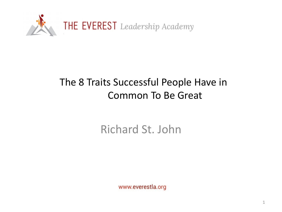

#### The 8 Traits Successful People Have in Common To Be Great

#### Richard St. John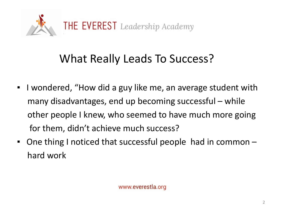

## What Really Leads To Success?

- I wondered, "How did a guy like me, an average student with many disadvantages, end up becoming successful – while other people I knew, who seemed to have much more going for them, didn't achieve much success?
- One thing I noticed that successful people had in common hard work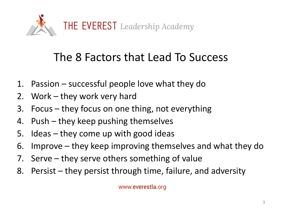

## The 8 Factors that Lead To Success

- 1. Passion successful people love what they do
- 2. Work they work very hard
- 3. Focus they focus on one thing, not everything
- 4. Push they keep pushing themselves
- 5. Ideas they come up with good ideas
- 6. Improve they keep improving themselves and what they do
- 7. Serve they serve others something of value
- 8. Persist they persist through time, failure, and adversity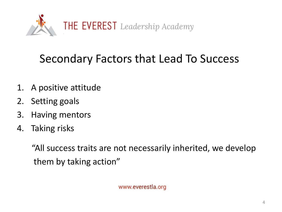

## Secondary Factors that Lead To Success

- 1. A positive attitude
- 2. Setting goals
- 3. Having mentors
- 4. Taking risks

"All success traits are not necessarily inherited, we develop them by taking action"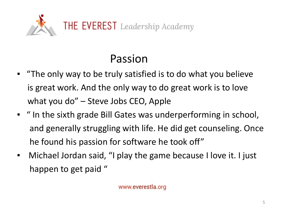

## Passion

- "The only way to be truly satisfied is to do what you believe is great work. And the only way to do great work is to love what you do" – Steve Jobs CEO, Apple
- " In the sixth grade Bill Gates was underperforming in school, and generally struggling with life. He did get counseling. Once he found his passion for software he took off"
- Michael Jordan said, "I play the game because I love it. I just happen to get paid "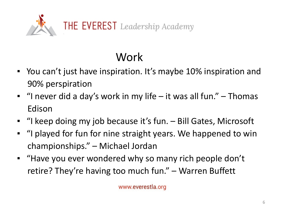

# Work

- You can't just have inspiration. It's maybe 10% inspiration and 90% perspiration
- $\blacksquare$  "I never did a day's work in my life it was all fun." Thomas Edison
- "I keep doing my job because it's fun. Bill Gates, Microsoft
- "I played for fun for nine straight years. We happened to win championships." – Michael Jordan
- "Have you ever wondered why so many rich people don't retire? They're having too much fun." – Warren Buffett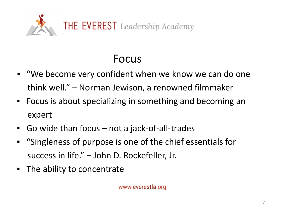

## Focus

- "We become very confident when we know we can do one think well." – Norman Jewison, a renowned filmmaker
- Focus is about specializing in something and becoming an expert
- Go wide than focus not a jack-of-all-trades
- "Singleness of purpose is one of the chief essentials for success in life." – John D. Rockefeller, Jr.
- The ability to concentrate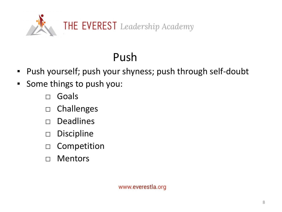

# Push

- Push yourself; push your shyness; push through self-doubt
- Some things to push you:
	- □ Goals
	- □ Challenges
	- □ Deadlines
	- □ Discipline
	- □ Competition
	- □ Mentors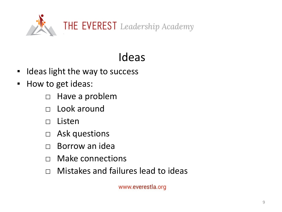

# Ideas

- Ideas light the way to success
- How to get ideas:
	- □ Have a problem
	- □ Look around
	- □ Listen
	- □ Ask questions
	- □ Borrow an idea
	- □ Make connections
	- □ Mistakes and failures lead to ideas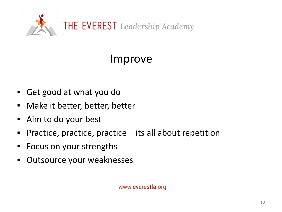

## Improve

- Get good at what you do
- Make it better, better, better
- Aim to do your best
- **Practice, practice, practice its all about repetition**
- Focus on your strengths
- Outsource your weaknesses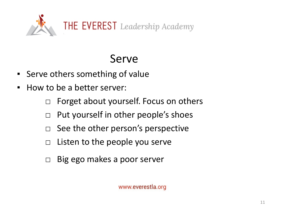

## Serve

- Serve others something of value
- How to be a better server:
	- □ Forget about yourself. Focus on others
	- □ Put yourself in other people's shoes
	- $\Box$  See the other person's perspective
	- $\Box$  Listen to the people you serve
	- □ Big ego makes a poor server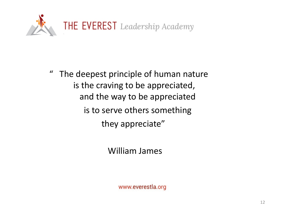

" The deepest principle of human nature is the craving to be appreciated, and the way to be appreciated is to serve others something they appreciate"

William James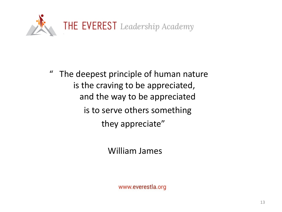

" The deepest principle of human nature is the craving to be appreciated, and the way to be appreciated is to serve others something they appreciate"

William James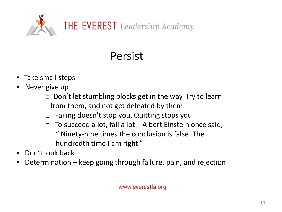

# Persist

- Take small steps
- Never give up
	- $\Box$  Don't let stumbling blocks get in the way. Try to learn from them, and not get defeated by them
	- $\Box$  Failing doesn't stop you. Quitting stops you
	- $\Box$  To succeed a lot, fail a lot Albert Einstein once said, " Ninety-nine times the conclusion is false. The hundredth time I am right."
- Don't look back
- Determination keep going through failure, pain, and rejection